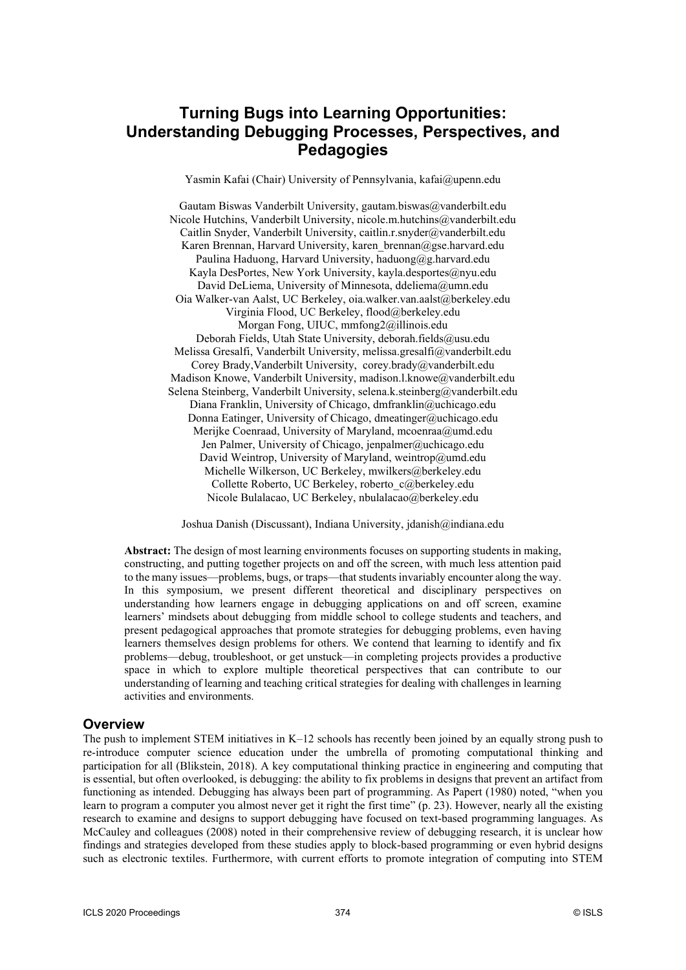# **Turning Bugs into Learning Opportunities: Understanding Debugging Processes, Perspectives, and Pedagogies**

Yasmin Kafai (Chair) University of Pennsylvania, kafai@upenn.edu

Gautam Biswas Vanderbilt University, gautam.biswas@vanderbilt.edu Nicole Hutchins, Vanderbilt University, nicole.m.hutchins@vanderbilt.edu Caitlin Snyder, Vanderbilt University, caitlin.r.snyder@vanderbilt.edu Karen Brennan, Harvard University, karen brennan@gse.harvard.edu Paulina Haduong, Harvard University, haduong@g.harvard.edu Kayla DesPortes, New York University, kayla.desportes@nyu.edu David DeLiema, University of Minnesota, ddeliema@umn.edu Oia Walker-van Aalst, UC Berkeley, oia.walker.van.aalst@berkeley.edu Virginia Flood, UC Berkeley, flood@berkeley.edu Morgan Fong, UIUC, mmfong2@illinois.edu Deborah Fields, Utah State University, deborah.fields@usu.edu Melissa Gresalfi, Vanderbilt University, melissa.gresalfi@vanderbilt.edu Corey Brady,Vanderbilt University, corey.brady@vanderbilt.edu Madison Knowe, Vanderbilt University, madison.l.knowe@vanderbilt.edu Selena Steinberg, Vanderbilt University, selena.k.steinberg@vanderbilt.edu Diana Franklin, University of Chicago, dmfranklin@uchicago.edu Donna Eatinger, University of Chicago, dmeatinger@uchicago.edu Merijke Coenraad, University of Maryland, mcoenraa@umd.edu Jen Palmer, University of Chicago, jenpalmer@uchicago.edu David Weintrop, University of Maryland, weintrop@umd.edu Michelle Wilkerson, UC Berkeley, mwilkers@berkeley.edu Collette Roberto, UC Berkeley, roberto\_c@berkeley.edu Nicole Bulalacao, UC Berkeley, nbulalacao@berkeley.edu

Joshua Danish (Discussant), Indiana University, jdanish@indiana.edu

**Abstract:** The design of most learning environments focuses on supporting students in making, constructing, and putting together projects on and off the screen, with much less attention paid to the many issues—problems, bugs, or traps—that students invariably encounter along the way. In this symposium, we present different theoretical and disciplinary perspectives on understanding how learners engage in debugging applications on and off screen, examine learners' mindsets about debugging from middle school to college students and teachers, and present pedagogical approaches that promote strategies for debugging problems, even having learners themselves design problems for others. We contend that learning to identify and fix problems—debug, troubleshoot, or get unstuck—in completing projects provides a productive space in which to explore multiple theoretical perspectives that can contribute to our understanding of learning and teaching critical strategies for dealing with challenges in learning activities and environments.

#### **Overview**

The push to implement STEM initiatives in K–12 schools has recently been joined by an equally strong push to re-introduce computer science education under the umbrella of promoting computational thinking and participation for all (Blikstein, 2018). A key computational thinking practice in engineering and computing that is essential, but often overlooked, is debugging: the ability to fix problems in designs that prevent an artifact from functioning as intended. Debugging has always been part of programming. As Papert (1980) noted, "when you learn to program a computer you almost never get it right the first time" (p. 23). However, nearly all the existing research to examine and designs to support debugging have focused on text-based programming languages. As McCauley and colleagues (2008) noted in their comprehensive review of debugging research, it is unclear how findings and strategies developed from these studies apply to block-based programming or even hybrid designs such as electronic textiles. Furthermore, with current efforts to promote integration of computing into STEM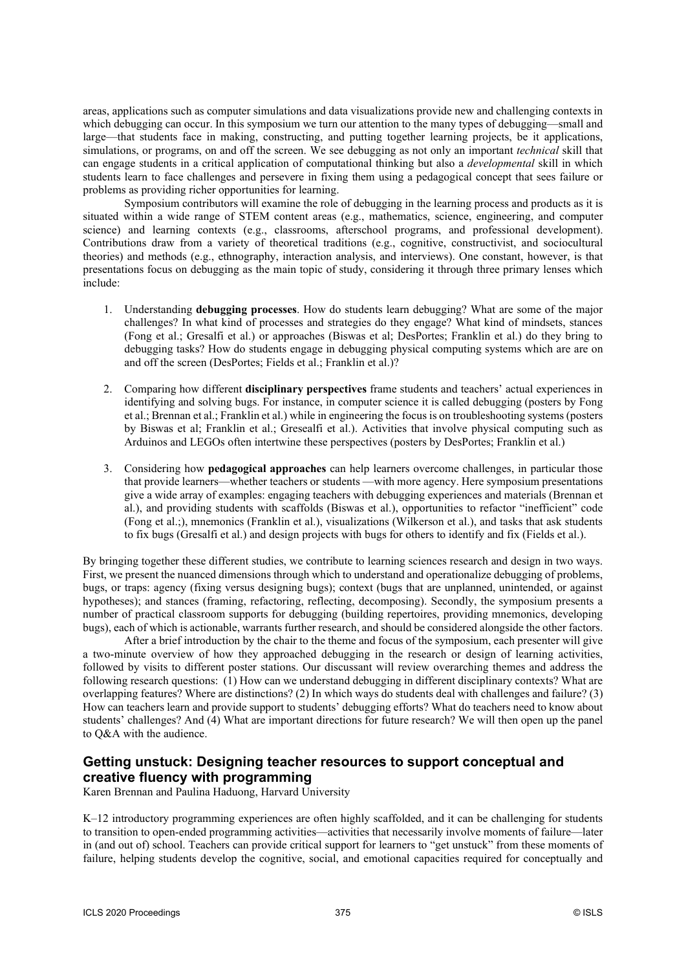areas, applications such as computer simulations and data visualizations provide new and challenging contexts in which debugging can occur. In this symposium we turn our attention to the many types of debugging—small and large—that students face in making, constructing, and putting together learning projects, be it applications, simulations, or programs, on and off the screen. We see debugging as not only an important *technical* skill that can engage students in a critical application of computational thinking but also a *developmental* skill in which students learn to face challenges and persevere in fixing them using a pedagogical concept that sees failure or problems as providing richer opportunities for learning.

Symposium contributors will examine the role of debugging in the learning process and products as it is situated within a wide range of STEM content areas (e.g., mathematics, science, engineering, and computer science) and learning contexts (e.g., classrooms, afterschool programs, and professional development). Contributions draw from a variety of theoretical traditions (e.g., cognitive, constructivist, and sociocultural theories) and methods (e.g., ethnography, interaction analysis, and interviews). One constant, however, is that presentations focus on debugging as the main topic of study, considering it through three primary lenses which include:

- 1. Understanding **debugging processes**. How do students learn debugging? What are some of the major challenges? In what kind of processes and strategies do they engage? What kind of mindsets, stances (Fong et al.; Gresalfi et al.) or approaches (Biswas et al; DesPortes; Franklin et al.) do they bring to debugging tasks? How do students engage in debugging physical computing systems which are are on and off the screen (DesPortes; Fields et al.; Franklin et al.)?
- 2. Comparing how different **disciplinary perspectives** frame students and teachers' actual experiences in identifying and solving bugs. For instance, in computer science it is called debugging (posters by Fong et al.; Brennan et al.; Franklin et al.) while in engineering the focus is on troubleshooting systems (posters by Biswas et al; Franklin et al.; Gresealfi et al.). Activities that involve physical computing such as Arduinos and LEGOs often intertwine these perspectives (posters by DesPortes; Franklin et al.)
- 3. Considering how **pedagogical approaches** can help learners overcome challenges, in particular those that provide learners—whether teachers or students —with more agency. Here symposium presentations give a wide array of examples: engaging teachers with debugging experiences and materials (Brennan et al.), and providing students with scaffolds (Biswas et al.), opportunities to refactor "inefficient" code (Fong et al.;), mnemonics (Franklin et al.), visualizations (Wilkerson et al.), and tasks that ask students to fix bugs (Gresalfi et al.) and design projects with bugs for others to identify and fix (Fields et al.).

By bringing together these different studies, we contribute to learning sciences research and design in two ways. First, we present the nuanced dimensions through which to understand and operationalize debugging of problems, bugs, or traps: agency (fixing versus designing bugs); context (bugs that are unplanned, unintended, or against hypotheses); and stances (framing, refactoring, reflecting, decomposing). Secondly, the symposium presents a number of practical classroom supports for debugging (building repertoires, providing mnemonics, developing bugs), each of which is actionable, warrants further research, and should be considered alongside the other factors.

After a brief introduction by the chair to the theme and focus of the symposium, each presenter will give a two-minute overview of how they approached debugging in the research or design of learning activities, followed by visits to different poster stations. Our discussant will review overarching themes and address the following research questions: (1) How can we understand debugging in different disciplinary contexts? What are overlapping features? Where are distinctions? (2) In which ways do students deal with challenges and failure? (3) How can teachers learn and provide support to students' debugging efforts? What do teachers need to know about students' challenges? And (4) What are important directions for future research? We will then open up the panel to Q&A with the audience.

## **Getting unstuck: Designing teacher resources to support conceptual and creative fluency with programming**

Karen Brennan and Paulina Haduong, Harvard University

K–12 introductory programming experiences are often highly scaffolded, and it can be challenging for students to transition to open-ended programming activities—activities that necessarily involve moments of failure—later in (and out of) school. Teachers can provide critical support for learners to "get unstuck" from these moments of failure, helping students develop the cognitive, social, and emotional capacities required for conceptually and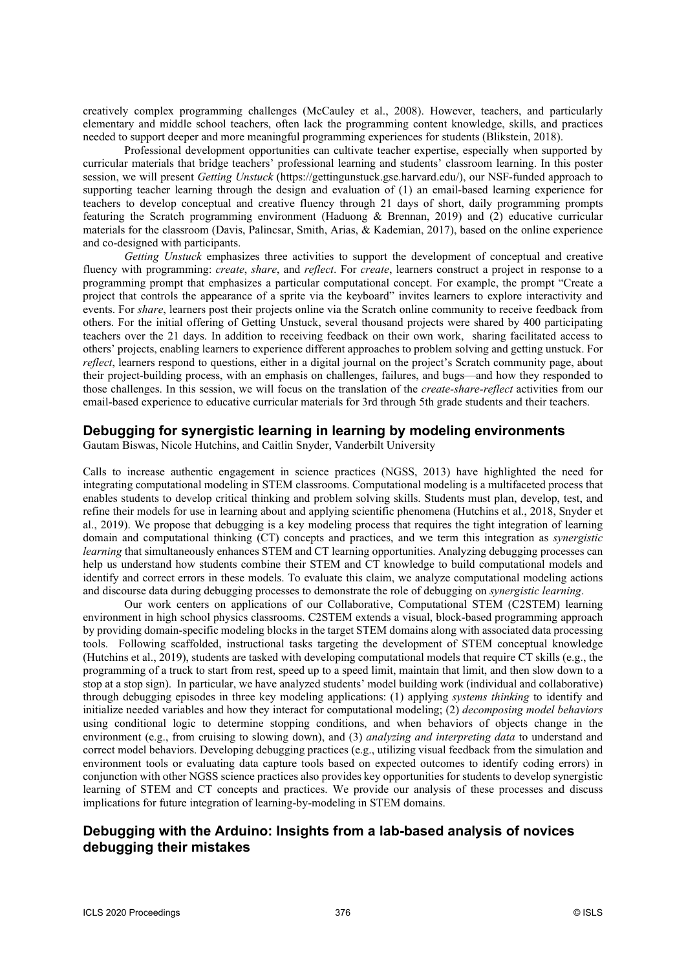creatively complex programming challenges (McCauley et al., 2008). However, teachers, and particularly elementary and middle school teachers, often lack the programming content knowledge, skills, and practices needed to support deeper and more meaningful programming experiences for students (Blikstein, 2018).

Professional development opportunities can cultivate teacher expertise, especially when supported by curricular materials that bridge teachers' professional learning and students' classroom learning. In this poster session, we will present *Getting Unstuck* (https://gettingunstuck.gse.harvard.edu/), our NSF-funded approach to supporting teacher learning through the design and evaluation of (1) an email-based learning experience for teachers to develop conceptual and creative fluency through 21 days of short, daily programming prompts featuring the Scratch programming environment (Haduong & Brennan, 2019) and (2) educative curricular materials for the classroom (Davis, Palincsar, Smith, Arias, & Kademian, 2017), based on the online experience and co-designed with participants.

*Getting Unstuck* emphasizes three activities to support the development of conceptual and creative fluency with programming: *create*, *share*, and *reflect*. For *create*, learners construct a project in response to a programming prompt that emphasizes a particular computational concept. For example, the prompt "Create a project that controls the appearance of a sprite via the keyboard" invites learners to explore interactivity and events. For *share*, learners post their projects online via the Scratch online community to receive feedback from others. For the initial offering of Getting Unstuck, several thousand projects were shared by 400 participating teachers over the 21 days. In addition to receiving feedback on their own work, sharing facilitated access to others' projects, enabling learners to experience different approaches to problem solving and getting unstuck. For *reflect*, learners respond to questions, either in a digital journal on the project's Scratch community page, about their project-building process, with an emphasis on challenges, failures, and bugs—and how they responded to those challenges. In this session, we will focus on the translation of the *create-share-reflect* activities from our email-based experience to educative curricular materials for 3rd through 5th grade students and their teachers.

#### **Debugging for synergistic learning in learning by modeling environments**

Gautam Biswas, Nicole Hutchins, and Caitlin Snyder, Vanderbilt University

Calls to increase authentic engagement in science practices (NGSS, 2013) have highlighted the need for integrating computational modeling in STEM classrooms. Computational modeling is a multifaceted process that enables students to develop critical thinking and problem solving skills. Students must plan, develop, test, and refine their models for use in learning about and applying scientific phenomena (Hutchins et al., 2018, Snyder et al., 2019). We propose that debugging is a key modeling process that requires the tight integration of learning domain and computational thinking (CT) concepts and practices, and we term this integration as *synergistic learning* that simultaneously enhances STEM and CT learning opportunities. Analyzing debugging processes can help us understand how students combine their STEM and CT knowledge to build computational models and identify and correct errors in these models. To evaluate this claim, we analyze computational modeling actions and discourse data during debugging processes to demonstrate the role of debugging on *synergistic learning*.

Our work centers on applications of our Collaborative, Computational STEM (C2STEM) learning environment in high school physics classrooms. C2STEM extends a visual, block-based programming approach by providing domain-specific modeling blocks in the target STEM domains along with associated data processing tools. Following scaffolded, instructional tasks targeting the development of STEM conceptual knowledge (Hutchins et al., 2019), students are tasked with developing computational models that require CT skills (e.g., the programming of a truck to start from rest, speed up to a speed limit, maintain that limit, and then slow down to a stop at a stop sign). In particular, we have analyzed students' model building work (individual and collaborative) through debugging episodes in three key modeling applications: (1) applying *systems thinking* to identify and initialize needed variables and how they interact for computational modeling; (2) *decomposing model behaviors* using conditional logic to determine stopping conditions, and when behaviors of objects change in the environment (e.g., from cruising to slowing down), and (3) *analyzing and interpreting data* to understand and correct model behaviors. Developing debugging practices (e.g., utilizing visual feedback from the simulation and environment tools or evaluating data capture tools based on expected outcomes to identify coding errors) in conjunction with other NGSS science practices also provides key opportunities for students to develop synergistic learning of STEM and CT concepts and practices. We provide our analysis of these processes and discuss implications for future integration of learning-by-modeling in STEM domains.

## **Debugging with the Arduino: Insights from a lab-based analysis of novices debugging their mistakes**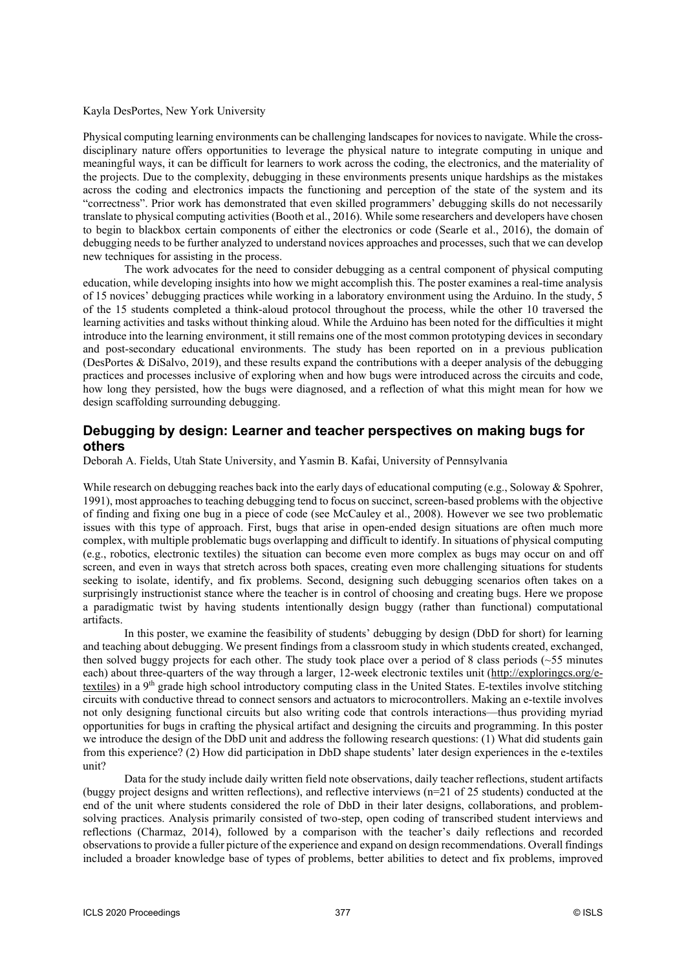#### Kayla DesPortes, New York University

Physical computing learning environments can be challenging landscapes for novicesto navigate. While the crossdisciplinary nature offers opportunities to leverage the physical nature to integrate computing in unique and meaningful ways, it can be difficult for learners to work across the coding, the electronics, and the materiality of the projects. Due to the complexity, debugging in these environments presents unique hardships as the mistakes across the coding and electronics impacts the functioning and perception of the state of the system and its "correctness". Prior work has demonstrated that even skilled programmers' debugging skills do not necessarily translate to physical computing activities (Booth et al., 2016). While some researchers and developers have chosen to begin to blackbox certain components of either the electronics or code (Searle et al., 2016), the domain of debugging needs to be further analyzed to understand novices approaches and processes, such that we can develop new techniques for assisting in the process.

The work advocates for the need to consider debugging as a central component of physical computing education, while developing insights into how we might accomplish this. The poster examines a real-time analysis of 15 novices' debugging practices while working in a laboratory environment using the Arduino. In the study, 5 of the 15 students completed a think-aloud protocol throughout the process, while the other 10 traversed the learning activities and tasks without thinking aloud. While the Arduino has been noted for the difficulties it might introduce into the learning environment, it still remains one of the most common prototyping devices in secondary and post-secondary educational environments. The study has been reported on in a previous publication (DesPortes & DiSalvo, 2019), and these results expand the contributions with a deeper analysis of the debugging practices and processes inclusive of exploring when and how bugs were introduced across the circuits and code, how long they persisted, how the bugs were diagnosed, and a reflection of what this might mean for how we design scaffolding surrounding debugging.

## **Debugging by design: Learner and teacher perspectives on making bugs for others**

Deborah A. Fields, Utah State University, and Yasmin B. Kafai, University of Pennsylvania

While research on debugging reaches back into the early days of educational computing (e.g., Soloway & Spohrer, 1991), most approaches to teaching debugging tend to focus on succinct, screen-based problems with the objective of finding and fixing one bug in a piece of code (see McCauley et al., 2008). However we see two problematic issues with this type of approach. First, bugs that arise in open-ended design situations are often much more complex, with multiple problematic bugs overlapping and difficult to identify. In situations of physical computing (e.g., robotics, electronic textiles) the situation can become even more complex as bugs may occur on and off screen, and even in ways that stretch across both spaces, creating even more challenging situations for students seeking to isolate, identify, and fix problems. Second, designing such debugging scenarios often takes on a surprisingly instructionist stance where the teacher is in control of choosing and creating bugs. Here we propose a paradigmatic twist by having students intentionally design buggy (rather than functional) computational artifacts.

In this poster, we examine the feasibility of students' debugging by design (DbD for short) for learning and teaching about debugging. We present findings from a classroom study in which students created, exchanged, then solved buggy projects for each other. The study took place over a period of 8 class periods (~55 minutes each) about three-quarters of the way through a larger, 12-week electronic textiles unit (http://exploringcs.org/etextiles) in a 9<sup>th</sup> grade high school introductory computing class in the United States. E-textiles involve stitching circuits with conductive thread to connect sensors and actuators to microcontrollers. Making an e-textile involves not only designing functional circuits but also writing code that controls interactions—thus providing myriad opportunities for bugs in crafting the physical artifact and designing the circuits and programming. In this poster we introduce the design of the DbD unit and address the following research questions: (1) What did students gain from this experience? (2) How did participation in DbD shape students' later design experiences in the e-textiles unit?

Data for the study include daily written field note observations, daily teacher reflections, student artifacts (buggy project designs and written reflections), and reflective interviews  $(n=21 \text{ of } 25 \text{ students})$  conducted at the end of the unit where students considered the role of DbD in their later designs, collaborations, and problemsolving practices. Analysis primarily consisted of two-step, open coding of transcribed student interviews and reflections (Charmaz, 2014), followed by a comparison with the teacher's daily reflections and recorded observations to provide a fuller picture of the experience and expand on design recommendations. Overall findings included a broader knowledge base of types of problems, better abilities to detect and fix problems, improved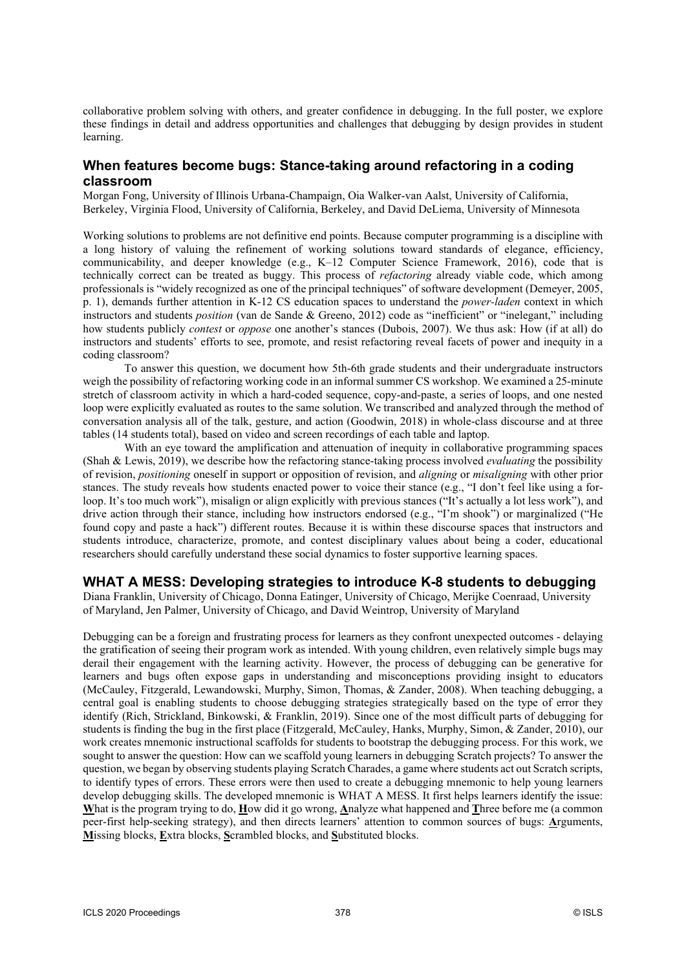collaborative problem solving with others, and greater confidence in debugging. In the full poster, we explore these findings in detail and address opportunities and challenges that debugging by design provides in student learning.

## **When features become bugs: Stance-taking around refactoring in a coding classroom**

Morgan Fong, University of Illinois Urbana-Champaign, Oia Walker-van Aalst, University of California, Berkeley, Virginia Flood, University of California, Berkeley, and David DeLiema, University of Minnesota

Working solutions to problems are not definitive end points. Because computer programming is a discipline with a long history of valuing the refinement of working solutions toward standards of elegance, efficiency, communicability, and deeper knowledge (e.g., K–12 Computer Science Framework, 2016), code that is technically correct can be treated as buggy. This process of *refactoring* already viable code, which among professionals is "widely recognized as one of the principal techniques" of software development (Demeyer, 2005, p. 1), demands further attention in K-12 CS education spaces to understand the *power-laden* context in which instructors and students *position* (van de Sande & Greeno, 2012) code as "inefficient" or "inelegant," including how students publicly *contest* or *oppose* one another's stances (Dubois, 2007). We thus ask: How (if at all) do instructors and students' efforts to see, promote, and resist refactoring reveal facets of power and inequity in a coding classroom?

To answer this question, we document how 5th-6th grade students and their undergraduate instructors weigh the possibility of refactoring working code in an informal summer CS workshop. We examined a 25-minute stretch of classroom activity in which a hard-coded sequence, copy-and-paste, a series of loops, and one nested loop were explicitly evaluated as routes to the same solution. We transcribed and analyzed through the method of conversation analysis all of the talk, gesture, and action (Goodwin, 2018) in whole-class discourse and at three tables (14 students total), based on video and screen recordings of each table and laptop.

With an eye toward the amplification and attenuation of inequity in collaborative programming spaces (Shah & Lewis, 2019), we describe how the refactoring stance-taking process involved *evaluating* the possibility of revision, *positioning* oneself in support or opposition of revision, and *aligning* or *misaligning* with other prior stances. The study reveals how students enacted power to voice their stance (e.g., "I don't feel like using a forloop. It's too much work"), misalign or align explicitly with previous stances ("It's actually a lot less work"), and drive action through their stance, including how instructors endorsed (e.g., "I'm shook") or marginalized ("He found copy and paste a hack") different routes. Because it is within these discourse spaces that instructors and students introduce, characterize, promote, and contest disciplinary values about being a coder, educational researchers should carefully understand these social dynamics to foster supportive learning spaces.

### **WHAT A MESS: Developing strategies to introduce K-8 students to debugging**

Diana Franklin, University of Chicago, Donna Eatinger, University of Chicago, Merijke Coenraad, University of Maryland, Jen Palmer, University of Chicago, and David Weintrop, University of Maryland

Debugging can be a foreign and frustrating process for learners as they confront unexpected outcomes - delaying the gratification of seeing their program work as intended. With young children, even relatively simple bugs may derail their engagement with the learning activity. However, the process of debugging can be generative for learners and bugs often expose gaps in understanding and misconceptions providing insight to educators (McCauley, Fitzgerald, Lewandowski, Murphy, Simon, Thomas, & Zander, 2008). When teaching debugging, a central goal is enabling students to choose debugging strategies strategically based on the type of error they identify (Rich, Strickland, Binkowski, & Franklin, 2019). Since one of the most difficult parts of debugging for students is finding the bug in the first place (Fitzgerald, McCauley, Hanks, Murphy, Simon, & Zander, 2010), our work creates mnemonic instructional scaffolds for students to bootstrap the debugging process. For this work, we sought to answer the question: How can we scaffold young learners in debugging Scratch projects? To answer the question, we began by observing students playing Scratch Charades, a game where students act out Scratch scripts, to identify types of errors. These errors were then used to create a debugging mnemonic to help young learners develop debugging skills. The developed mnemonic is WHAT A MESS. It first helps learners identify the issue: **W**hat is the program trying to do, **H**ow did it go wrong, **A**nalyze what happened and **T**hree before me (a common peer-first help-seeking strategy), and then directs learners' attention to common sources of bugs: **A**rguments, **M**issing blocks, **E**xtra blocks, **S**crambled blocks, and **S**ubstituted blocks.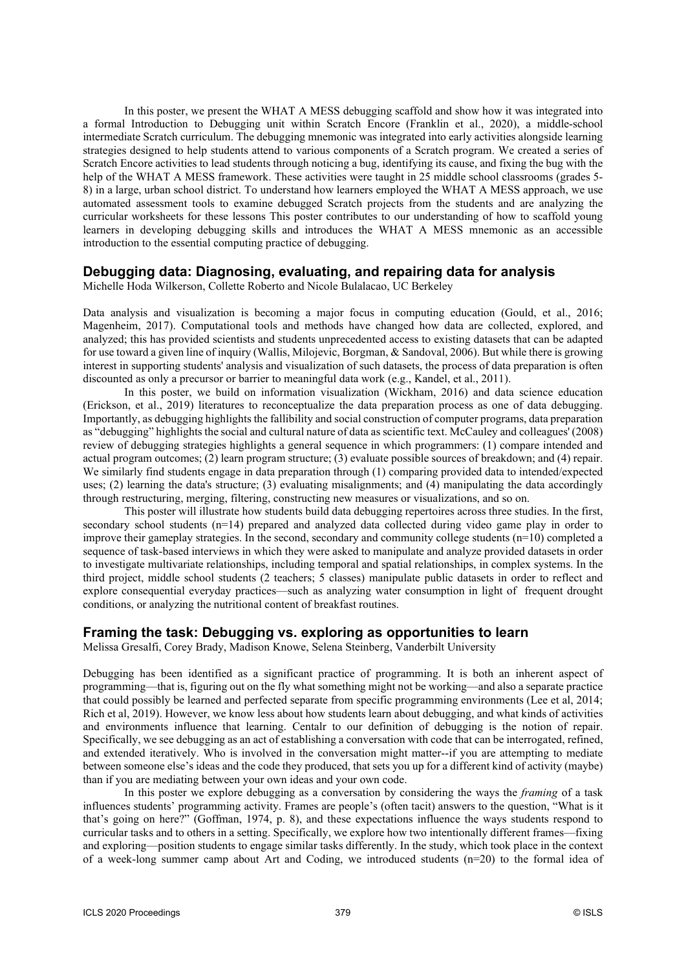In this poster, we present the WHAT A MESS debugging scaffold and show how it was integrated into a formal Introduction to Debugging unit within Scratch Encore (Franklin et al., 2020), a middle-school intermediate Scratch curriculum. The debugging mnemonic was integrated into early activities alongside learning strategies designed to help students attend to various components of a Scratch program. We created a series of Scratch Encore activities to lead students through noticing a bug, identifying its cause, and fixing the bug with the help of the WHAT A MESS framework. These activities were taught in 25 middle school classrooms (grades 5-8) in a large, urban school district. To understand how learners employed the WHAT A MESS approach, we use automated assessment tools to examine debugged Scratch projects from the students and are analyzing the curricular worksheets for these lessons This poster contributes to our understanding of how to scaffold young learners in developing debugging skills and introduces the WHAT A MESS mnemonic as an accessible introduction to the essential computing practice of debugging.

### **Debugging data: Diagnosing, evaluating, and repairing data for analysis**

Michelle Hoda Wilkerson, Collette Roberto and Nicole Bulalacao, UC Berkeley

Data analysis and visualization is becoming a major focus in computing education (Gould, et al., 2016; Magenheim, 2017). Computational tools and methods have changed how data are collected, explored, and analyzed; this has provided scientists and students unprecedented access to existing datasets that can be adapted for use toward a given line of inquiry (Wallis, Milojevic, Borgman, & Sandoval, 2006). But while there is growing interest in supporting students' analysis and visualization of such datasets, the process of data preparation is often discounted as only a precursor or barrier to meaningful data work (e.g., Kandel, et al., 2011).

In this poster, we build on information visualization (Wickham, 2016) and data science education (Erickson, et al., 2019) literatures to reconceptualize the data preparation process as one of data debugging. Importantly, as debugging highlights the fallibility and social construction of computer programs, data preparation as "debugging" highlights the social and cultural nature of data as scientific text. McCauley and colleagues' (2008) review of debugging strategies highlights a general sequence in which programmers: (1) compare intended and actual program outcomes; (2) learn program structure; (3) evaluate possible sources of breakdown; and (4) repair. We similarly find students engage in data preparation through (1) comparing provided data to intended/expected uses; (2) learning the data's structure; (3) evaluating misalignments; and (4) manipulating the data accordingly through restructuring, merging, filtering, constructing new measures or visualizations, and so on.

This poster will illustrate how students build data debugging repertoires across three studies. In the first, secondary school students (n=14) prepared and analyzed data collected during video game play in order to improve their gameplay strategies. In the second, secondary and community college students (n=10) completed a sequence of task-based interviews in which they were asked to manipulate and analyze provided datasets in order to investigate multivariate relationships, including temporal and spatial relationships, in complex systems. In the third project, middle school students (2 teachers; 5 classes) manipulate public datasets in order to reflect and explore consequential everyday practices—such as analyzing water consumption in light of frequent drought conditions, or analyzing the nutritional content of breakfast routines.

### **Framing the task: Debugging vs. exploring as opportunities to learn**

Melissa Gresalfi, Corey Brady, Madison Knowe, Selena Steinberg, Vanderbilt University

Debugging has been identified as a significant practice of programming. It is both an inherent aspect of programming—that is, figuring out on the fly what something might not be working—and also a separate practice that could possibly be learned and perfected separate from specific programming environments (Lee et al, 2014; Rich et al, 2019). However, we know less about how students learn about debugging, and what kinds of activities and environments influence that learning. Centalr to our definition of debugging is the notion of repair. Specifically, we see debugging as an act of establishing a conversation with code that can be interrogated, refined, and extended iteratively. Who is involved in the conversation might matter--if you are attempting to mediate between someone else's ideas and the code they produced, that sets you up for a different kind of activity (maybe) than if you are mediating between your own ideas and your own code.

In this poster we explore debugging as a conversation by considering the ways the *framing* of a task influences students' programming activity. Frames are people's (often tacit) answers to the question, "What is it that's going on here?" (Goffman, 1974, p. 8), and these expectations influence the ways students respond to curricular tasks and to others in a setting. Specifically, we explore how two intentionally different frames—fixing and exploring—position students to engage similar tasks differently. In the study, which took place in the context of a week-long summer camp about Art and Coding, we introduced students (n=20) to the formal idea of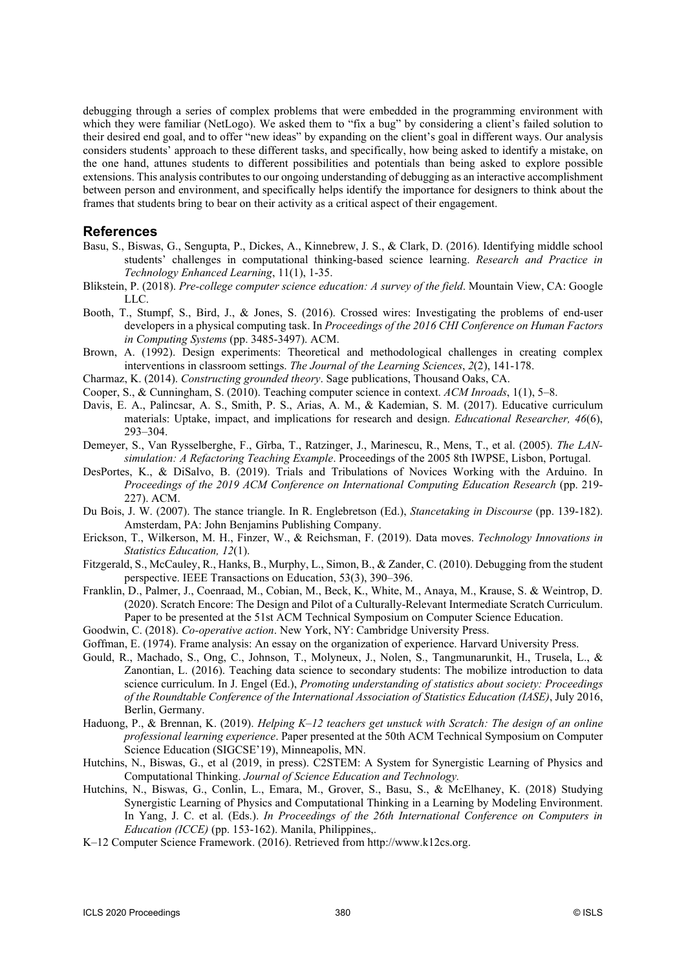debugging through a series of complex problems that were embedded in the programming environment with which they were familiar (NetLogo). We asked them to "fix a bug" by considering a client's failed solution to their desired end goal, and to offer "new ideas" by expanding on the client's goal in different ways. Our analysis considers students' approach to these different tasks, and specifically, how being asked to identify a mistake, on the one hand, attunes students to different possibilities and potentials than being asked to explore possible extensions. This analysis contributes to our ongoing understanding of debugging as an interactive accomplishment between person and environment, and specifically helps identify the importance for designers to think about the frames that students bring to bear on their activity as a critical aspect of their engagement.

#### **References**

- Basu, S., Biswas, G., Sengupta, P., Dickes, A., Kinnebrew, J. S., & Clark, D. (2016). Identifying middle school students' challenges in computational thinking-based science learning. *Research and Practice in Technology Enhanced Learning*, 11(1), 1-35.
- Blikstein, P. (2018). *Pre-college computer science education: A survey of the field*. Mountain View, CA: Google LLC.
- Booth, T., Stumpf, S., Bird, J., & Jones, S. (2016). Crossed wires: Investigating the problems of end-user developers in a physical computing task. In *Proceedings of the 2016 CHI Conference on Human Factors in Computing Systems* (pp. 3485-3497). ACM.
- Brown, A. (1992). Design experiments: Theoretical and methodological challenges in creating complex interventions in classroom settings. *The Journal of the Learning Sciences*, *2*(2), 141-178.
- Charmaz, K. (2014). *Constructing grounded theory*. Sage publications, Thousand Oaks, CA.
- Cooper, S., & Cunningham, S. (2010). Teaching computer science in context. *ACM Inroads*, 1(1), 5–8.
- Davis, E. A., Palincsar, A. S., Smith, P. S., Arias, A. M., & Kademian, S. M. (2017). Educative curriculum materials: Uptake, impact, and implications for research and design. *Educational Researcher, 46*(6), 293–304.
- Demeyer, S., Van Rysselberghe, F., Gîrba, T., Ratzinger, J., Marinescu, R., Mens, T., et al. (2005). *The LANsimulation: A Refactoring Teaching Example*. Proceedings of the 2005 8th IWPSE, Lisbon, Portugal.
- DesPortes, K., & DiSalvo, B. (2019). Trials and Tribulations of Novices Working with the Arduino. In *Proceedings of the 2019 ACM Conference on International Computing Education Research* (pp. 219- 227). ACM.
- Du Bois, J. W. (2007). The stance triangle. In R. Englebretson (Ed.), *Stancetaking in Discourse* (pp. 139-182). Amsterdam, PA: John Benjamins Publishing Company.
- Erickson, T., Wilkerson, M. H., Finzer, W., & Reichsman, F. (2019). Data moves. *Technology Innovations in Statistics Education, 12*(1).
- Fitzgerald, S., McCauley, R., Hanks, B., Murphy, L., Simon, B., & Zander, C. (2010). Debugging from the student perspective. IEEE Transactions on Education, 53(3), 390–396.
- Franklin, D., Palmer, J., Coenraad, M., Cobian, M., Beck, K., White, M., Anaya, M., Krause, S. & Weintrop, D. (2020). Scratch Encore: The Design and Pilot of a Culturally-Relevant Intermediate Scratch Curriculum. Paper to be presented at the 51st ACM Technical Symposium on Computer Science Education.
- Goodwin, C. (2018). *Co-operative action*. New York, NY: Cambridge University Press.
- Goffman, E. (1974). Frame analysis: An essay on the organization of experience. Harvard University Press.
- Gould, R., Machado, S., Ong, C., Johnson, T., Molyneux, J., Nolen, S., Tangmunarunkit, H., Trusela, L., & Zanontian, L. (2016). Teaching data science to secondary students: The mobilize introduction to data science curriculum. In J. Engel (Ed.), *Promoting understanding of statistics about society: Proceedings of the Roundtable Conference of the International Association of Statistics Education (IASE)*, July 2016, Berlin, Germany.
- Haduong, P., & Brennan, K. (2019). *Helping K–12 teachers get unstuck with Scratch: The design of an online professional learning experience*. Paper presented at the 50th ACM Technical Symposium on Computer Science Education (SIGCSE'19), Minneapolis, MN.
- Hutchins, N., Biswas, G., et al (2019, in press). C2STEM: A System for Synergistic Learning of Physics and Computational Thinking. *Journal of Science Education and Technology.*
- Hutchins, N., Biswas, G., Conlin, L., Emara, M., Grover, S., Basu, S., & McElhaney, K. (2018) Studying Synergistic Learning of Physics and Computational Thinking in a Learning by Modeling Environment. In Yang, J. C. et al. (Eds.). *In Proceedings of the 26th International Conference on Computers in Education (ICCE)* (pp. 153-162). Manila, Philippines,.
- K–12 Computer Science Framework. (2016). Retrieved from http://www.k12cs.org.